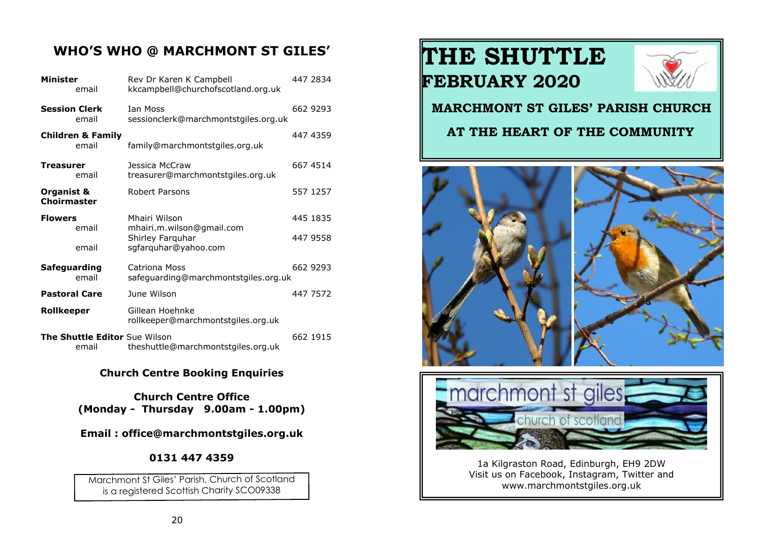#### **WHO'S WHO @ MARCHMONT ST GILES'**

| Minister<br>email                      | Rev Dr Karen K Campbell<br>kkcampbell@churchofscotland.org.uk | 447 2834 |
|----------------------------------------|---------------------------------------------------------------|----------|
| <b>Session Clerk</b><br>email          | <b>Ian Moss</b><br>sessionclerk@marchmontstgiles.org.uk       | 662 9293 |
| <b>Children &amp; Family</b><br>email  | family@marchmontstgiles.org.uk                                | 447 4359 |
| Treasurer<br>email                     | Jessica McCraw<br>treasurer@marchmontstgiles.org.uk           | 667 4514 |
| Organist &<br><b>Choirmaster</b>       | Robert Parsons                                                | 557 1257 |
| <b>Flowers</b><br>email                | Mhairi Wilson<br>mhairi.m.wilson@gmail.com                    | 445 1835 |
| email                                  | Shirley Farquhar<br>sgfarquhar@yahoo.com                      | 447 9558 |
| Safeguarding<br>email                  | Catriona Moss<br>safeguarding@marchmontstgiles.org.uk         | 662 9293 |
| <b>Pastoral Care</b>                   | June Wilson                                                   | 447 7572 |
| Rollkeeper                             | Gillean Hoehnke<br>rollkeeper@marchmontstgiles.org.uk         |          |
| The Shuttle Editor Sue Wilson<br>email | theshuttle@marchmontstgiles.org.uk                            | 662 1915 |

#### **Church Centre Booking Enquiries**

**Church Centre Office (Monday - Thursday 9.00am - 1.00pm)**

**Email : office@marchmontstgiles.org.uk**

#### **0131 447 4359**

Marchmont St Giles' Parish, Church of Scotland is a registered Scottish Charity SCO09338

## **THE SHUTTLE FEBRUARY 2020**



#### **MARCHMONT ST GILES' PARISH CHURCH**

#### **AT THE HEART OF THE COMMUNITY**





1a Kilgraston Road, Edinburgh, EH9 2DW Visit us on Facebook, Instagram, Twitter and www.marchmontstgiles.org.uk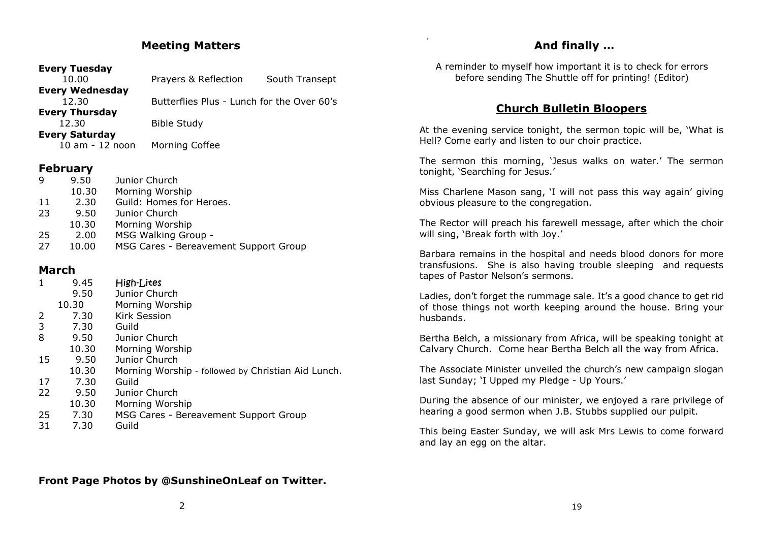#### **Meeting Matters**

#### **Every Tuesday**

| 10.00                  | Prayers & Reflection                       | South Transept |
|------------------------|--------------------------------------------|----------------|
| <b>Every Wednesday</b> |                                            |                |
| 12.30                  | Butterflies Plus - Lunch for the Over 60's |                |
| <b>Every Thursday</b>  |                                            |                |
| 12.30                  | <b>Bible Study</b>                         |                |
| <b>Every Saturday</b>  |                                            |                |
| 10 am - 12 noon        | Morning Coffee                             |                |

#### **February**

| <b>q</b> | 9.50  | Junior Church                         |
|----------|-------|---------------------------------------|
|          | 10.30 | Morning Worship                       |
| 11       | 2.30  | Guild: Homes for Heroes.              |
| 23       | 9.50  | Junior Church                         |
|          | 10.30 | Morning Worship                       |
| -25      | 2.00  | MSG Walking Group -                   |
| 27       | 10.00 | MSG Cares - Bereavement Support Group |

#### **March**

|    | 9.45  | High-Lites                                         |
|----|-------|----------------------------------------------------|
|    | 9.50  | Junior Church                                      |
|    | 10.30 | Morning Worship                                    |
| 2  | 7.30  | Kirk Session                                       |
| 3  | 7.30  | Guild                                              |
| 8  | 9.50  | Junior Church                                      |
|    | 10.30 | Morning Worship                                    |
| 15 | 9.50  | Junior Church                                      |
|    | 10.30 | Morning Worship - followed by Christian Aid Lunch. |
| 17 | 7.30  | Guild                                              |
| 22 | 9.50  | Junior Church                                      |
|    | 10.30 | Morning Worship                                    |
| 25 | 7.30  | MSG Cares - Bereavement Support Group              |
| 31 | 7.30  | Guild                                              |

#### **And finally …**

 $\sim$ 

A reminder to myself how important it is to check for errors before sending The Shuttle off for printing! (Editor)

#### **Church Bulletin Bloopers**

At the evening service tonight, the sermon topic will be, 'What is Hell? Come early and listen to our choir practice.

The sermon this morning, 'Jesus walks on water.' The sermon tonight, 'Searching for Jesus.'

Miss Charlene Mason sang, 'I will not pass this way again' giving obvious pleasure to the congregation.

The Rector will preach his farewell message, after which the choir will sing, 'Break forth with Joy.'

Barbara remains in the hospital and needs blood donors for more transfusions. She is also having trouble sleeping and requests tapes of Pastor Nelson's sermons.

Ladies, don't forget the rummage sale. It's a good chance to get rid of those things not worth keeping around the house. Bring your husbands.

Bertha Belch, a missionary from Africa, will be speaking tonight at Calvary Church. Come hear Bertha Belch all the way from Africa.

The Associate Minister unveiled the church's new campaign slogan last Sunday; 'I Upped my Pledge - Up Yours.'

During the absence of our minister, we enjoyed a rare privilege of hearing a good sermon when J.B. Stubbs supplied our pulpit.

This being Easter Sunday, we will ask Mrs Lewis to come forward and lay an egg on the altar.

#### **Front Page Photos by @SunshineOnLeaf on Twitter.**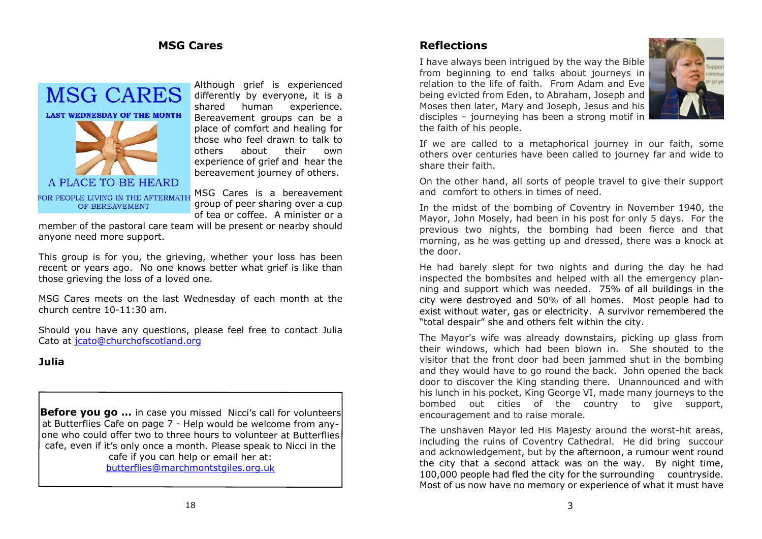#### **MSG Cares**



Although grief is experienced differently by everyone, it is a shared human experience. Bereavement groups can be a place of comfort and healing for those who feel drawn to talk to others about their own experience of grief and hear the bereavement journey of others.

MSG Cares is a bereavement group of peer sharing over a cup of tea or coffee. A minister or a

member of the pastoral care team will be present or nearby should anyone need more support.

This group is for you, the grieving, whether your loss has been recent or years ago. No one knows better what grief is like than those grieving the loss of a loved one.

MSG Cares meets on the last Wednesday of each month at the church centre 10-11:30 am.

Should you have any questions, please feel free to contact Julia Cato at [jcato@churchofscotland.org](mailto:jcato@churchofscotland.org)

#### **Julia**

**Before you go …** in case you missed Nicci's call for volunteers at Butterflies Cafe on page 7 - Help would be welcome from anyone who could offer two to three hours to volunteer at Butterflies cafe, even if it's only once a month. Please speak to Nicci in the cafe if you can help or email her at: [butterflies@marchmontstgiles.org.uk](mailto:butterflies@marchmontstgiles.org.uk)

#### **Reflections**

I have always been intrigued by the way the Bible from beginning to end talks about journeys in relation to the life of faith. From Adam and Eve being evicted from Eden, to Abraham, Joseph and Moses then later, Mary and Joseph, Jesus and his disciples – journeying has been a strong motif in the faith of his people.



If we are called to a metaphorical journey in our faith, some others over centuries have been called to journey far and wide to share their faith.

On the other hand, all sorts of people travel to give their support and comfort to others in times of need.

In the midst of the bombing of Coventry in November 1940, the Mayor, John Mosely, had been in his post for only 5 days. For the previous two nights, the bombing had been fierce and that morning, as he was getting up and dressed, there was a knock at the door.

He had barely slept for two nights and during the day he had inspected the bombsites and helped with all the emergency planning and support which was needed. 75% of all buildings in the city were destroyed and 50% of all homes. Most people had to exist without water, gas or electricity. A survivor remembered the "total despair" she and others felt within the city.

The Mayor's wife was already downstairs, picking up glass from their windows, which had been blown in. She shouted to the visitor that the front door had been jammed shut in the bombing and they would have to go round the back. John opened the back door to discover the King standing there. Unannounced and with his lunch in his pocket, King George VI, made many journeys to the bombed out cities of the country to give support, encouragement and to raise morale.

The unshaven Mayor led His Majesty around the worst-hit areas, including the ruins of Coventry Cathedral. He did bring succour and acknowledgement, but by the afternoon, a rumour went round the city that a second attack was on the way. By night time, 100,000 people had fled the city for the surrounding countryside. Most of us now have no memory or experience of what it must have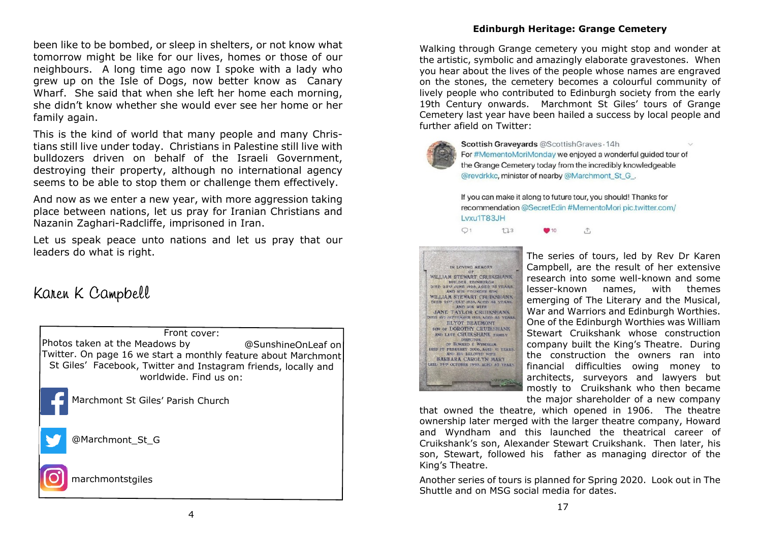been like to be bombed, or sleep in shelters, or not know what tomorrow might be like for our lives, homes or those of our neighbours. A long time ago now I spoke with a lady who grew up on the Isle of Dogs, now better know as Canary Wharf. She said that when she left her home each morning, she didn't know whether she would ever see her home or her family again.

This is the kind of world that many people and many Christians still live under today. Christians in Palestine still live with bulldozers driven on behalf of the Israeli Government, destroying their property, although no international agency seems to be able to stop them or challenge them effectively.

And now as we enter a new year, with more aggression taking place between nations, let us pray for Iranian Christians and Nazanin Zaghari-Radcliffe, imprisoned in Iran.

Let us speak peace unto nations and let us pray that our leaders do what is right.

### Karen K Campbell



#### **Edinburgh Heritage: Grange Cemetery**

Walking through Grange cemetery you might stop and wonder at the artistic, symbolic and amazingly elaborate gravestones. When you hear about the lives of the people whose names are engraved on the stones, the cemetery becomes a colourful community of lively people who contributed to Edinburgh society from the early 19th Century onwards. Marchmont St Giles' tours of Grange Cemetery last year have been hailed a success by local people and further afield on Twitter:



Scottish Graveyards @ScottishGraves . 14h For #MementoMoriMonday we enjoyed a wonderful quided tour of the Grange Cemetery today from the incredibly knowledgeable @revdrkkc, minister of nearby @Marchmont St G.

If you can make it along to future tour, you should! Thanks for recommendation @SecretEdin #MementoMori pic.twitter.com/ Lyxu1T83JH





The series of tours, led by Rev Dr Karen Campbell, are the result of her extensive research into some well-known and some lesser-known names, with themes emerging of The Literary and the Musical, War and Warriors and Edinburgh Worthies. One of the Edinburgh Worthies was William Stewart Cruikshank whose construction company built the King's Theatre. During the construction the owners ran into financial difficulties owing money to architects, surveyors and lawyers but mostly to Cruikshank who then became the major shareholder of a new company

that owned the theatre, which opened in 1906. The theatre ownership later merged with the larger theatre company, Howard and Wyndham and this launched the theatrical career of Cruikshank's son, Alexander Stewart Cruikshank. Then later, his son, Stewart, followed his father as managing director of the King's Theatre.

Another series of tours is planned for Spring 2020. Look out in The Shuttle and on MSG social media for dates.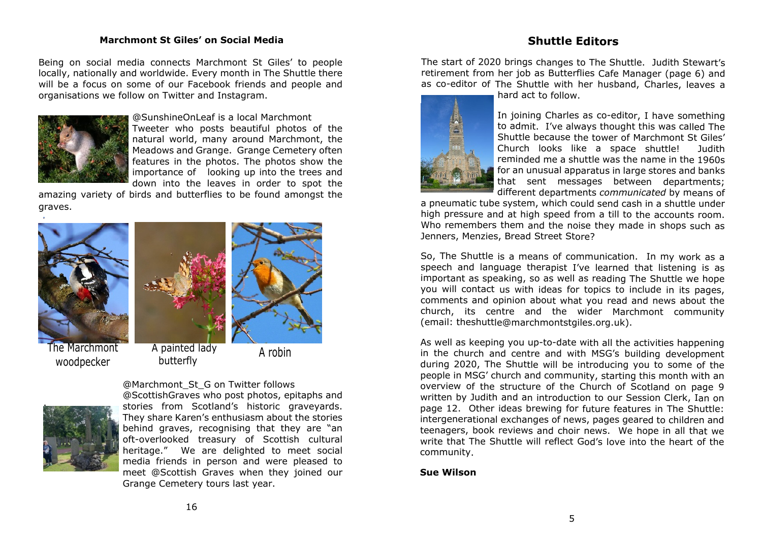#### **Marchmont St Giles' on Social Media**

#### **Shuttle Editors**

Being on social media connects Marchmont St Giles' to people locally, nationally and worldwide. Every month in The Shuttle there will be a focus on some of our Facebook friends and people and organisations we follow on Twitter and Instagram.



@SunshineOnLeaf is a local Marchmont Tweeter who posts beautiful photos of the natural world, many around Marchmont, the Meadows and Grange. Grange Cemetery often features in the photos. The photos show the importance of looking up into the trees and down into the leaves in order to spot the

amazing variety of birds and butterflies to be found amongst the graves.





The Marchmont woodpecker

 A painted lady painted lady the A robin<br>butterfly



@Marchmont\_St\_G on Twitter follows @ScottishGraves who post photos, epitaphs and stories from Scotland's historic graveyards. They share Karen's enthusiasm about the stories behind graves, recognising that they are "an oft-overlooked treasury of Scottish cultural heritage." We are delighted to meet social media friends in person and were pleased to meet @Scottish Graves when they joined our Grange Cemetery tours last year.

The start of 2020 brings changes to The Shuttle. Judith Stewart's retirement from her job as Butterflies Cafe Manager (page 6) and as co-editor of The Shuttle with her husband, Charles, leaves a hard act to follow.



In joining Charles as co-editor, I have something to admit. I've always thought this was called The Shuttle because the tower of Marchmont St Giles' Church looks like a space shuttle! Judith reminded me a shuttle was the name in the 1960s for an unusual apparatus in large stores and banks that sent messages between departments; different departments *communicated* by means of

a pneumatic tube system, which could send cash in a shuttle under high pressure and at high speed from a till to the accounts room. Who remembers them and the noise they made in shops such as Jenners, Menzies, Bread Street Store?

So, The Shuttle is a means of communication. In my work as a speech and language therapist I've learned that listening is as important as speaking, so as well as reading The Shuttle we hope you will contact us with ideas for topics to include in its pages, comments and opinion about what you read and news about the church, its centre and the wider Marchmont community (email: theshuttle@marchmontstgiles.org.uk).

As well as keeping you up-to-date with all the activities happening in the church and centre and with MSG's building development during 2020, The Shuttle will be introducing you to some of the people in MSG' church and community, starting this month with an overview of the structure of the Church of Scotland on page 9 written by Judith and an introduction to our Session Clerk, Ian on page 12. Other ideas brewing for future features in The Shuttle: intergenerational exchanges of news, pages geared to children and teenagers, book reviews and choir news. We hope in all that we write that The Shuttle will reflect God's love into the heart of the community.

#### **Sue Wilson**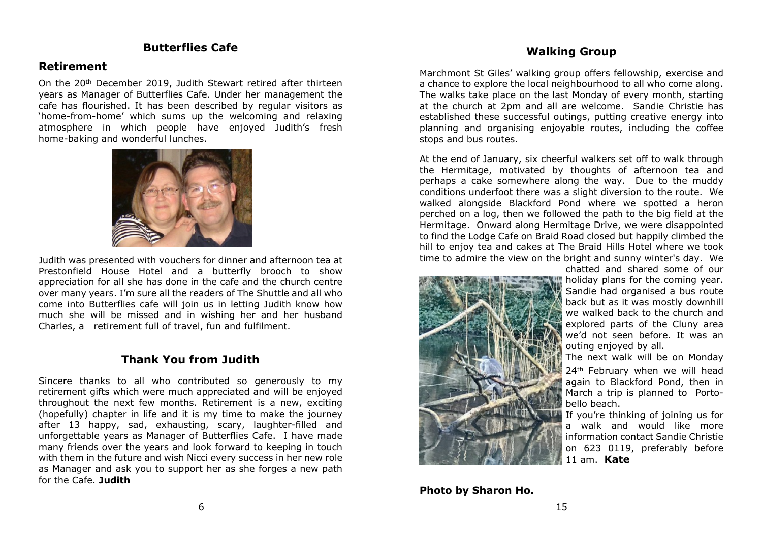#### **Butterflies Cafe**

#### **Retirement**

On the 20th December 2019, Judith Stewart retired after thirteen years as Manager of Butterflies Cafe. Under her management the cafe has flourished. It has been described by regular visitors as 'home-from-home' which sums up the welcoming and relaxing atmosphere in which people have enjoyed Judith's fresh home-baking and wonderful lunches.



Judith was presented with vouchers for dinner and afternoon tea at Prestonfield House Hotel and a butterfly brooch to show appreciation for all she has done in the cafe and the church centre over many years. I'm sure all the readers of The Shuttle and all who come into Butterflies cafe will join us in letting Judith know how much she will be missed and in wishing her and her husband Charles, a retirement full of travel, fun and fulfilment.

#### **Thank You from Judith**

Sincere thanks to all who contributed so generously to my retirement gifts which were much appreciated and will be enjoyed throughout the next few months. Retirement is a new, exciting (hopefully) chapter in life and it is my time to make the journey after 13 happy, sad, exhausting, scary, laughter-filled and unforgettable years as Manager of Butterflies Cafe. I have made many friends over the years and look forward to keeping in touch with them in the future and wish Nicci every success in her new role as Manager and ask you to support her as she forges a new path for the Cafe. **Judith**

#### **Walking Group**

Marchmont St Giles' walking group offers fellowship, exercise and a chance to explore the local neighbourhood to all who come along. The walks take place on the last Monday of every month, starting at the church at 2pm and all are welcome. Sandie Christie has established these successful outings, putting creative energy into planning and organising enjoyable routes, including the coffee stops and bus routes.

At the end of January, six cheerful walkers set off to walk through the Hermitage, motivated by thoughts of afternoon tea and perhaps a cake somewhere along the way. Due to the muddy conditions underfoot there was a slight diversion to the route. We walked alongside Blackford Pond where we spotted a heron perched on a log, then we followed the path to the big field at the Hermitage. Onward along Hermitage Drive, we were disappointed to find the Lodge Cafe on Braid Road closed but happily climbed the hill to enjoy tea and cakes at The Braid Hills Hotel where we took time to admire the view on the bright and sunny winter's day. We chatted and shared some of our



**Photo by Sharon Ho.**

holiday plans for the coming year. Sandie had organised a bus route back but as it was mostly downhill we walked back to the church and explored parts of the Cluny area we'd not seen before. It was an outing enjoyed by all.

The next walk will be on Monday 24<sup>th</sup> February when we will head again to Blackford Pond, then in March a trip is planned to Portobello beach.

If you're thinking of joining us for a walk and would like more information contact Sandie Christie on 623 0119, preferably before 11 am. **Kate**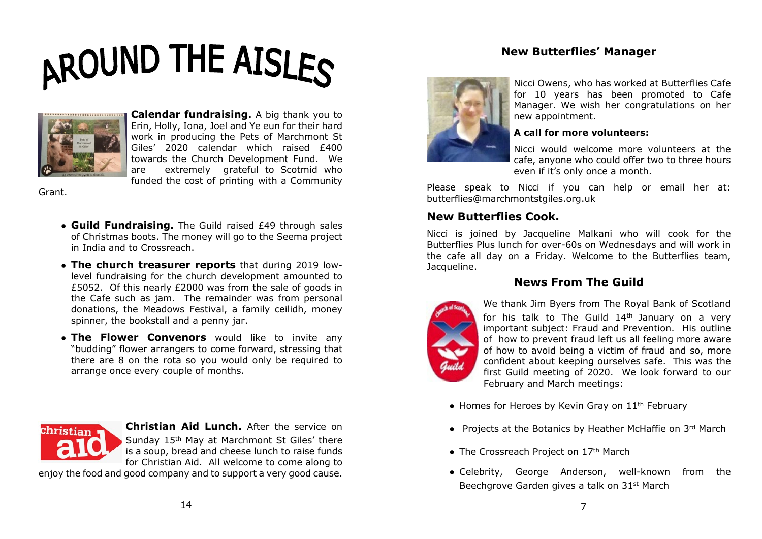# AROUND THE AISLES



**Calendar fundraising.** A big thank you to Erin, Holly, Iona, Joel and Ye eun for their hard work in producing the Pets of Marchmont St Giles' 2020 calendar which raised £400 towards the Church Development Fund. We are extremely grateful to Scotmid who funded the cost of printing with a Community

Grant.

- **Guild Fundraising.** The Guild raised £49 through sales of Christmas boots. The money will go to the Seema project in India and to Crossreach.
- **The church treasurer reports** that during 2019 lowlevel fundraising for the church development amounted to £5052. Of this nearly £2000 was from the sale of goods in the Cafe such as jam. The remainder was from personal donations, the Meadows Festival, a family ceilidh, money spinner, the bookstall and a penny jar.
- **The Flower Convenors** would like to invite any "budding" flower arrangers to come forward, stressing that there are 8 on the rota so you would only be required to arrange once every couple of months.



**Christian Aid Lunch.** After the service on Sunday 15th May at Marchmont St Giles' there is a soup, bread and cheese lunch to raise funds for Christian Aid. All welcome to come along to

enjoy the food and good company and to support a very good cause.

Nicci Owens, who has worked at Butterflies Cafe for 10 years has been promoted to Cafe Manager. We wish her congratulations on her new appointment.

#### **A call for more volunteers:**

**New Butterflies' Manager**

Nicci would welcome more volunteers at the cafe, anyone who could offer two to three hours even if it's only once a month.

Please speak to Nicci if you can help or email her at: butterflies@marchmontstgiles.org.uk

#### **New Butterflies Cook.**

Nicci is joined by Jacqueline Malkani who will cook for the Butterflies Plus lunch for over-60s on Wednesdays and will work in the cafe all day on a Friday. Welcome to the Butterflies team, Jacqueline.

#### **News From The Guild**



We thank Jim Byers from The Royal Bank of Scotland for his talk to The Guild 14th January on a very important subject: Fraud and Prevention. His outline of how to prevent fraud left us all feeling more aware of how to avoid being a victim of fraud and so, more confident about keeping ourselves safe. This was the first Guild meeting of 2020. We look forward to our February and March meetings:

- $\bullet$  Homes for Heroes by Kevin Gray on  $11<sup>th</sup>$  February
- Projects at the Botanics by Heather McHaffie on 3rd March
- The Crossreach Project on 17<sup>th</sup> March
- Celebrity, George Anderson, well-known from the Beechgrove Garden gives a talk on 31st March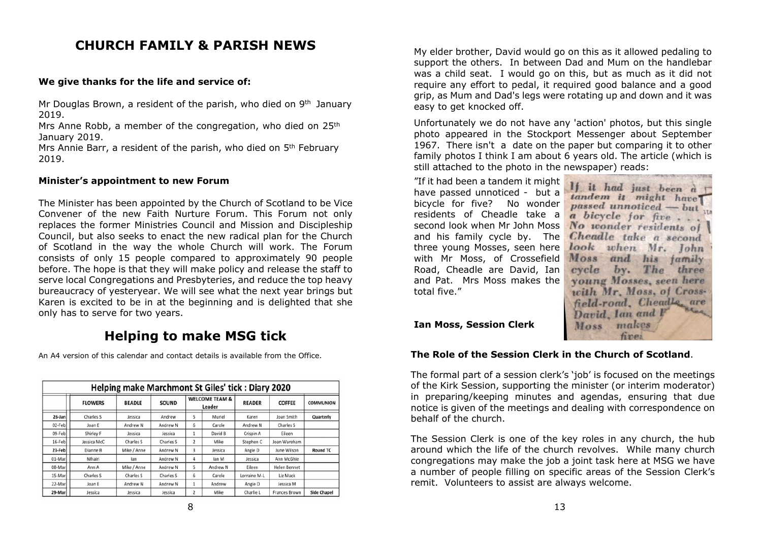#### **CHURCH FAMILY & PARISH NEWS**

#### **We give thanks for the life and service of:**

Mr Douglas Brown, a resident of the parish, who died on 9<sup>th</sup> January 2019.

Mrs Anne Robb, a member of the congregation, who died on 25<sup>th</sup> January 2019.

Mrs Annie Barr, a resident of the parish, who died on 5<sup>th</sup> February 2019.

#### **Minister's appointment to new Forum**

The Minister has been appointed by the Church of Scotland to be Vice Convener of the new Faith Nurture Forum. This Forum not only replaces the former Ministries Council and Mission and Discipleship Council, but also seeks to enact the new radical plan for the Church of Scotland in the way the whole Church will work. The Forum consists of only 15 people compared to approximately 90 people before. The hope is that they will make policy and release the staff to serve local Congregations and Presbyteries, and reduce the top heavy bureaucracy of yesteryear. We will see what the next year brings but Karen is excited to be in at the beginning and is delighted that she only has to serve for two years.

#### **Helping to make MSG tick**

An A4 version of this calendar and contact details is available from the Office.

| Helping make Marchmont St Giles' tick: Diary 2020 |                |                     |              |   |                                     |                     |                     |                    |
|---------------------------------------------------|----------------|---------------------|--------------|---|-------------------------------------|---------------------|---------------------|--------------------|
|                                                   | <b>FLOWERS</b> | <b>BEADLE</b>       | <b>SOUND</b> |   | <b>WELCOME TEAM &amp;</b><br>Leader | <b>READER</b>       | <b>COFFEE</b>       | <b>COMMUNION</b>   |
| $26$ -Jan                                         | Charles S      | Jessica             | Andrew       | 5 | Muriel                              | Karen               | Joan Smith          | Quarterly          |
| 02-Feb                                            | Joan E         | Andrew <sub>N</sub> | Andrew N     | 6 | Carole                              | Andrew <sub>N</sub> | Charles S           |                    |
| 09-Feb                                            | Shirley F      | Jessica             | Jessica      |   | David B                             | Crispin A           | Eileen              |                    |
| 16-Feb                                            | Jessica McC    | Charles S           | Charles S    | 2 | Mike                                | Stephen C           | Joan Wareham        |                    |
| 23-Feb                                            | Dianne B       | Mike / Anne         | Andrew N     | 3 | Jessica                             | Angie D             | June Wilson         | <b>Round TC</b>    |
| 01-Mar                                            | Mhairi         | lan                 | Andrew N     | 4 | lan M                               | Jessica             | Ann McGhie          |                    |
| 08-Mar                                            | Ann A          | Mike / Anne         | Andrew N     | 5 | Andrew N                            | Eileen              | <b>Helen Bennet</b> |                    |
| 15-Mar                                            | Charles S      | Charles S           | Charles S    | 6 | Carole                              | Lorraine M-L        | Liz Mack            |                    |
| 22-Mar                                            | Joan E         | Andrew <sub>N</sub> | Andrew N     |   | Andrew                              | Angie D             | Jessica M           |                    |
| 29-Mar                                            | Jessica        | Jessica             | Jessica      | 2 | Mike                                | Charlie L           | Frances Brown       | <b>Side Chapel</b> |

8

My elder brother, David would go on this as it allowed pedaling to support the others. In between Dad and Mum on the handlebar was a child seat. I would go on this, but as much as it did not require any effort to pedal, it required good balance and a good grip, as Mum and Dad's legs were rotating up and down and it was easy to get knocked off.

Unfortunately we do not have any 'action' photos, but this single photo appeared in the Stockport Messenger about September 1967. There isn't a date on the paper but comparing it to other family photos I think I am about 6 years old. The article (which is still attached to the photo in the newspaper) reads:

"If it had been a tandem it might have passed unnoticed - but a bicycle for five? No wonder residents of Cheadle take a second look when Mr John Moss and his family cycle by. The three young Mosses, seen here with Mr Moss, of Crossefield Road, Cheadle are David, Ian and Pat. Mrs Moss makes the total five."

If it had just been a tandem it might have passed unnoticed - but a bicycle for five No wonder residents of Cheadle take a second look when Mr. John Moss and his family cycle by. The three voung Mosses, seen here with Mr. Moss, of Crossfield-road, Cheadle, are David, Ian and Moss makes

#### **Ian Moss, Session Clerk**

#### **The Role of the Session Clerk in the Church of Scotland**.

The formal part of a session clerk's 'job' is focused on the meetings of the Kirk Session, supporting the minister (or interim moderator) in preparing/keeping minutes and agendas, ensuring that due notice is given of the meetings and dealing with correspondence on behalf of the church.

The Session Clerk is one of the key roles in any church, the hub around which the life of the church revolves. While many church congregations may make the job a joint task here at MSG we have a number of people filling on specific areas of the Session Clerk's remit. Volunteers to assist are always welcome.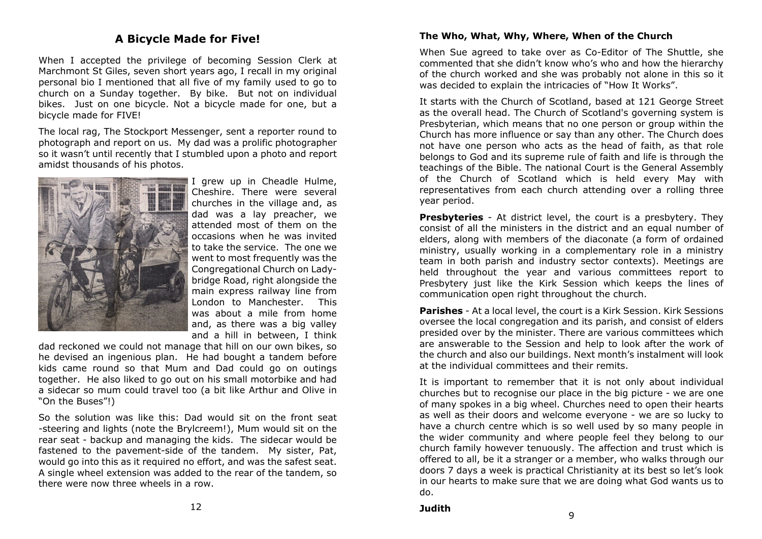#### **A Bicycle Made for Five!**

When I accepted the privilege of becoming Session Clerk at Marchmont St Giles, seven short years ago, I recall in my original personal bio I mentioned that all five of my family used to go to church on a Sunday together. By bike. But not on individual bikes. Just on one bicycle. Not a bicycle made for one, but a bicycle made for FIVE!

The local rag, The Stockport Messenger, sent a reporter round to photograph and report on us. My dad was a prolific photographer so it wasn't until recently that I stumbled upon a photo and report amidst thousands of his photos.



I grew up in Cheadle Hulme, Cheshire. There were several churches in the village and, as dad was a lay preacher, we attended most of them on the occasions when he was invited to take the service. The one we went to most frequently was the Congregational Church on Ladybridge Road, right alongside the main express railway line from London to Manchester. This was about a mile from home and, as there was a big valley and a hill in between, I think

dad reckoned we could not manage that hill on our own bikes, so he devised an ingenious plan. He had bought a tandem before kids came round so that Mum and Dad could go on outings together. He also liked to go out on his small motorbike and had a sidecar so mum could travel too (a bit like Arthur and Olive in "On the Buses"!)

So the solution was like this: Dad would sit on the front seat -steering and lights (note the Brylcreem!), Mum would sit on the rear seat - backup and managing the kids. The sidecar would be fastened to the pavement-side of the tandem. My sister, Pat, would go into this as it required no effort, and was the safest seat. A single wheel extension was added to the rear of the tandem, so there were now three wheels in a row.

#### **The Who, What, Why, Where, When of the Church**

When Sue agreed to take over as Co-Editor of The Shuttle, she commented that she didn't know who's who and how the hierarchy of the church worked and she was probably not alone in this so it was decided to explain the intricacies of "How It Works".

It starts with the Church of Scotland, based at 121 George Street as the overall head. The Church of Scotland's governing system is Presbyterian, which means that no one person or group within the Church has more influence or say than any other. The Church does not have one person who acts as the head of faith, as that role belongs to God and its supreme rule of faith and life is through the teachings of the Bible. The national Court is the General Assembly of the Church of Scotland which is held every May with representatives from each church attending over a rolling three year period.

**Presbyteries** - At district level, the court is a presbytery. They consist of all the ministers in the district and an equal number of elders, along with members of the diaconate (a form of ordained ministry, usually working in a complementary role in a ministry team in both parish and industry sector contexts). Meetings are held throughout the year and various committees report to Presbytery just like the Kirk Session which keeps the lines of communication open right throughout the church.

**Parishes** - At a local level, the court is a Kirk Session. Kirk Sessions oversee the local congregation and its parish, and consist of elders presided over by the minister. There are various committees which are answerable to the Session and help to look after the work of the church and also our buildings. Next month's instalment will look at the individual committees and their remits.

It is important to remember that it is not only about individual churches but to recognise our place in the big picture - we are one of many spokes in a big wheel. Churches need to open their hearts as well as their doors and welcome everyone - we are so lucky to have a church centre which is so well used by so many people in the wider community and where people feel they belong to our church family however tenuously. The affection and trust which is offered to all, be it a stranger or a member, who walks through our doors 7 days a week is practical Christianity at its best so let's look in our hearts to make sure that we are doing what God wants us to do.

**Judith** <sup>9</sup>